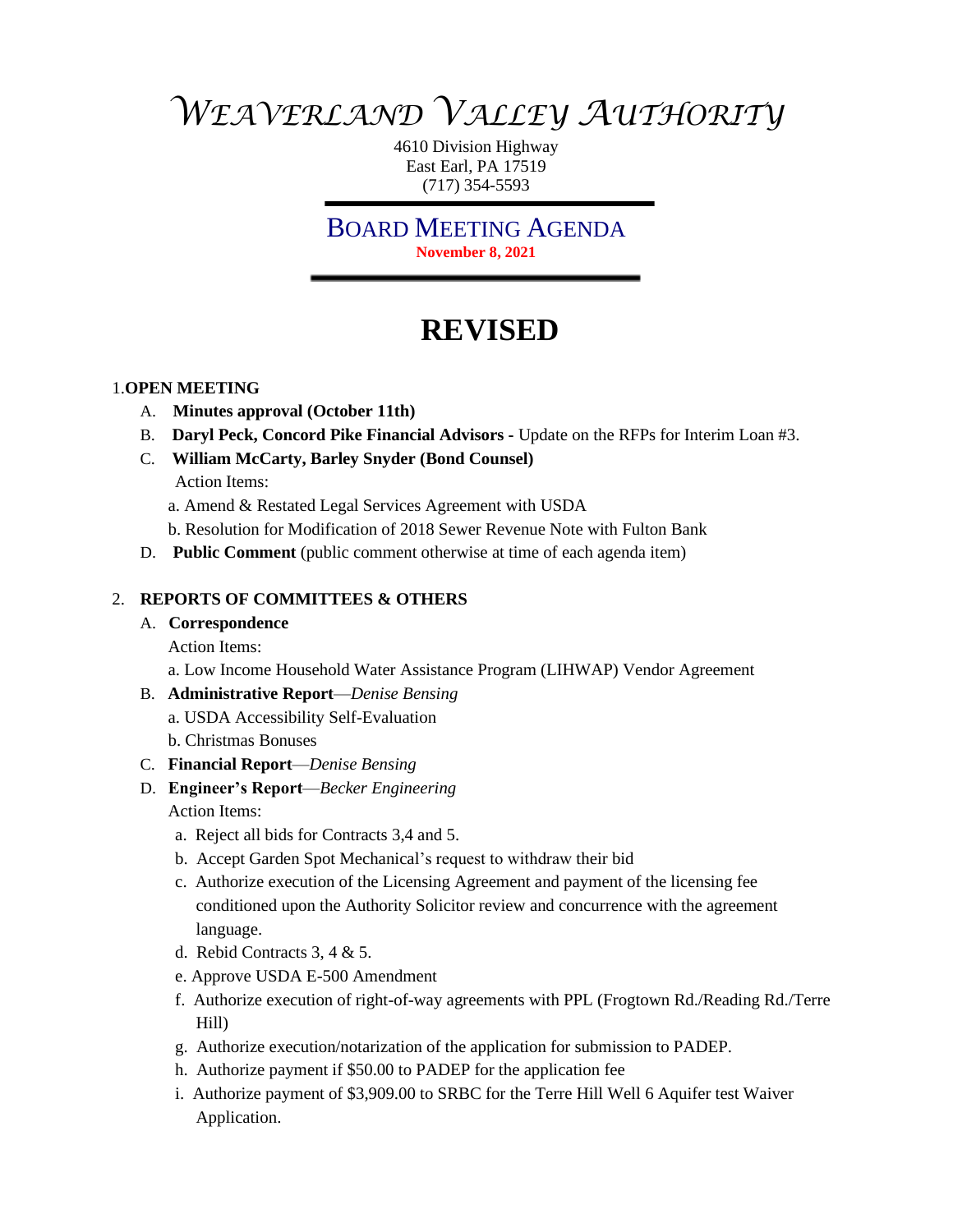# *WEAVERLAND VALLEY AUTHORITY*

4610 Division Highway East Earl, PA 17519 (717) 354-5593

BOARD MEETING AGENDA **November 8, 2021**

# **REVISED**

#### 1.**OPEN MEETING**

- A. **Minutes approval (October 11th)**
- B. **Daryl Peck, Concord Pike Financial Advisors -** Update on the RFPs for Interim Loan #3.
- C. **William McCarty, Barley Snyder (Bond Counsel)**
	- Action Items:

a. Amend & Restated Legal Services Agreement with USDA

b. Resolution for Modification of 2018 Sewer Revenue Note with Fulton Bank

D. **Public Comment** (public comment otherwise at time of each agenda item)

#### 2. **REPORTS OF COMMITTEES & OTHERS**

#### A. **Correspondence**

Action Items:

a. Low Income Household Water Assistance Program (LIHWAP) Vendor Agreement

# B. **Administrative Report**—*Denise Bensing*

a. USDA Accessibility Self-Evaluation

b. Christmas Bonuses

- C. **Financial Report**—*Denise Bensing*
- D. **Engineer's Report**—*Becker Engineering* Action Items:
	- a. Reject all bids for Contracts 3,4 and 5.
	- b. Accept Garden Spot Mechanical's request to withdraw their bid
	- c. Authorize execution of the Licensing Agreement and payment of the licensing fee conditioned upon the Authority Solicitor review and concurrence with the agreement language.
	- d. Rebid Contracts 3, 4 & 5.
	- e. Approve USDA E-500 Amendment
	- f. Authorize execution of right-of-way agreements with PPL (Frogtown Rd./Reading Rd./Terre Hill)
	- g. Authorize execution/notarization of the application for submission to PADEP.
	- h. Authorize payment if \$50.00 to PADEP for the application fee
	- i. Authorize payment of \$3,909.00 to SRBC for the Terre Hill Well 6 Aquifer test Waiver Application.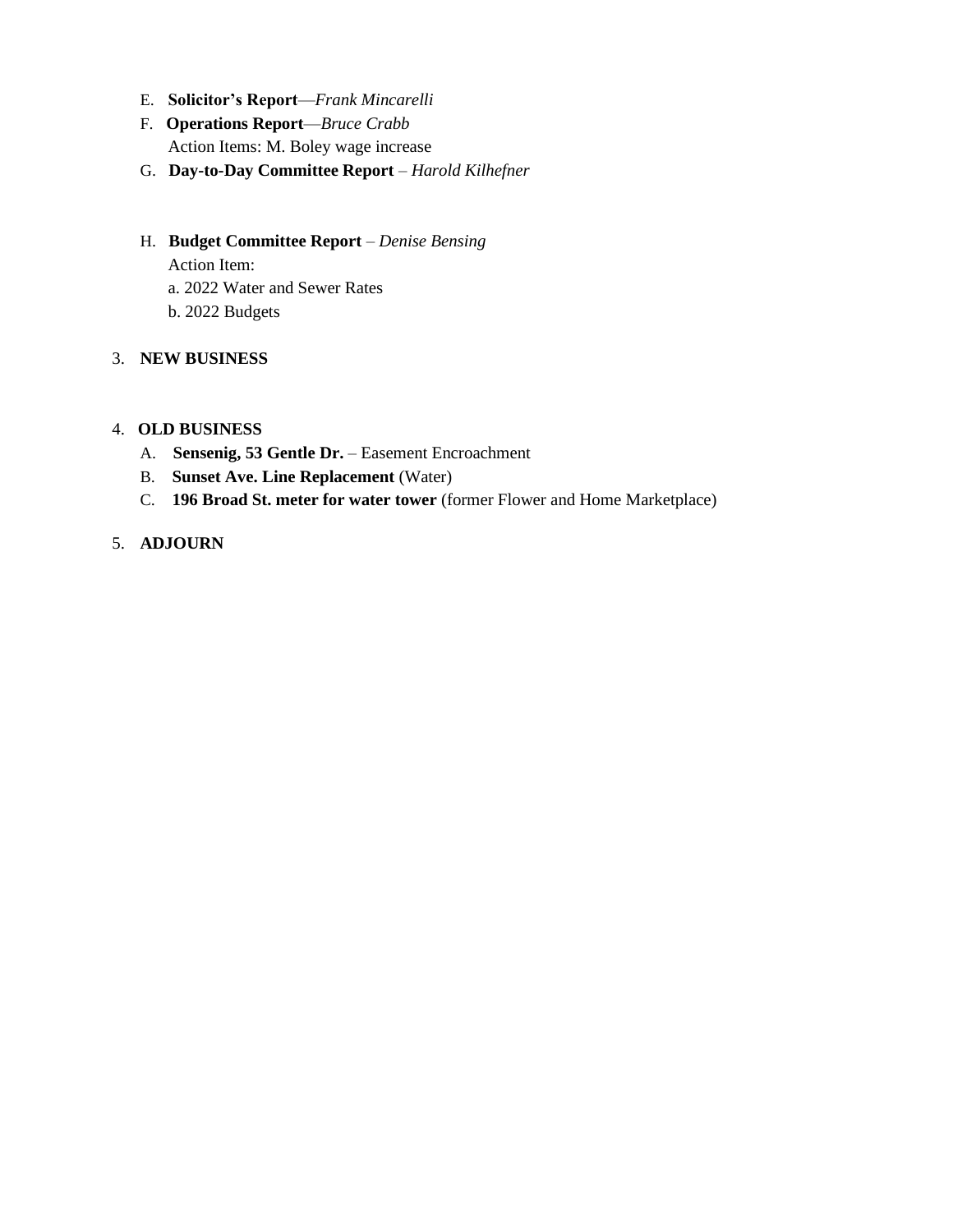- E. **Solicitor's Report**—*Frank Mincarelli*
- F. **Operations Report**—*Bruce Crabb* Action Items: M. Boley wage increase
- G. **Day-to-Day Committee Report** *Harold Kilhefner*

### H. **Budget Committee Report** – *Denise Bensing*

Action Item: a. 2022 Water and Sewer Rates b. 2022 Budgets

# 3. **NEW BUSINESS**

#### 4. **OLD BUSINESS**

- A. **Sensenig, 53 Gentle Dr.** Easement Encroachment
- B. **Sunset Ave. Line Replacement** (Water)
- C. **196 Broad St. meter for water tower** (former Flower and Home Marketplace)

# 5. **ADJOURN**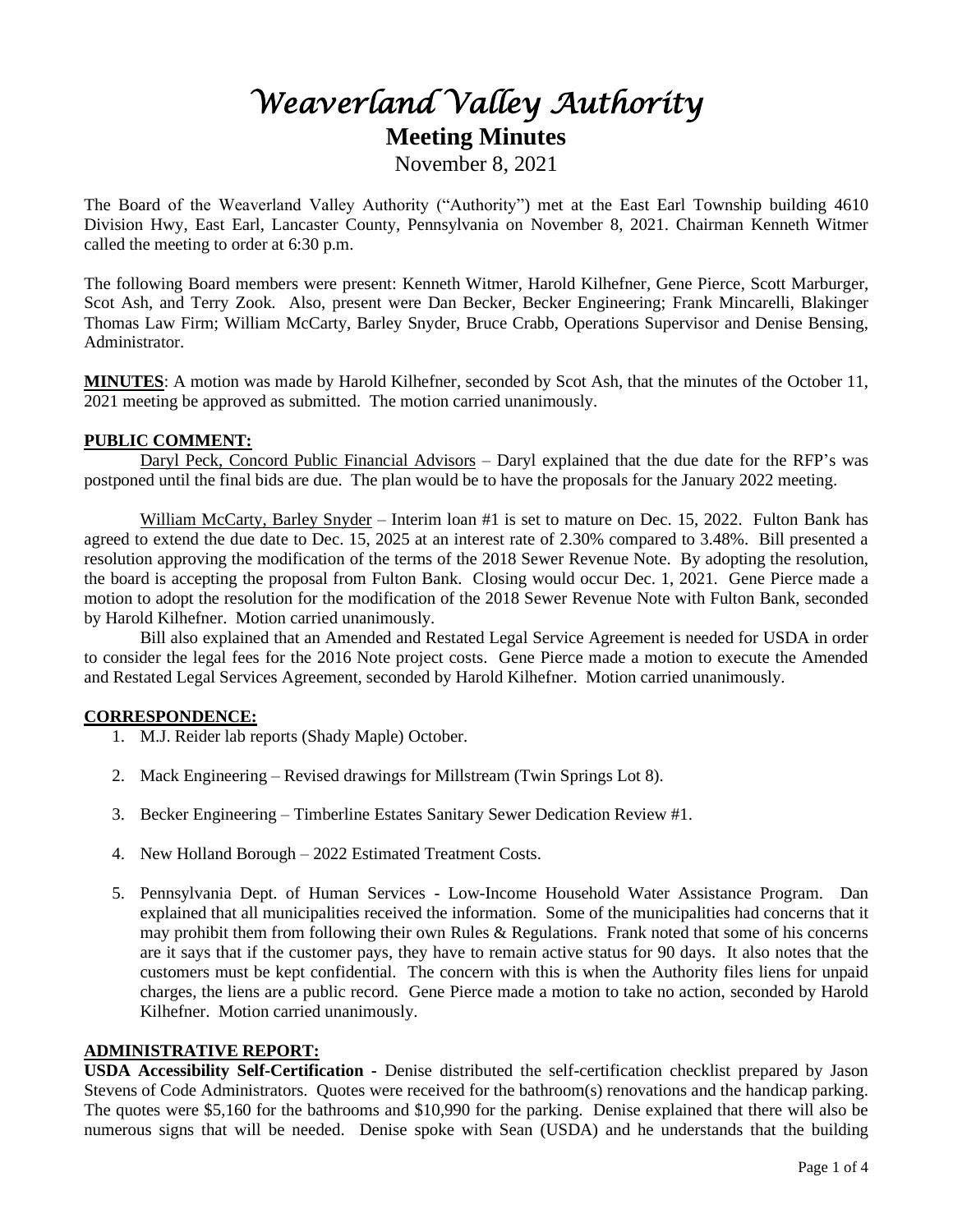# *Weaverland Valley Authority*  **Meeting Minutes** November 8, 2021

The Board of the Weaverland Valley Authority ("Authority") met at the East Earl Township building 4610 Division Hwy, East Earl, Lancaster County, Pennsylvania on November 8, 2021. Chairman Kenneth Witmer called the meeting to order at 6:30 p.m.

The following Board members were present: Kenneth Witmer, Harold Kilhefner, Gene Pierce, Scott Marburger, Scot Ash, and Terry Zook. Also, present were Dan Becker, Becker Engineering; Frank Mincarelli, Blakinger Thomas Law Firm; William McCarty, Barley Snyder, Bruce Crabb, Operations Supervisor and Denise Bensing, Administrator.

**MINUTES**: A motion was made by Harold Kilhefner, seconded by Scot Ash, that the minutes of the October 11, 2021 meeting be approved as submitted. The motion carried unanimously.

#### **PUBLIC COMMENT:**

Daryl Peck, Concord Public Financial Advisors - Daryl explained that the due date for the RFP's was postponed until the final bids are due. The plan would be to have the proposals for the January 2022 meeting.

William McCarty, Barley Snyder – Interim loan #1 is set to mature on Dec. 15, 2022. Fulton Bank has agreed to extend the due date to Dec. 15, 2025 at an interest rate of 2.30% compared to 3.48%. Bill presented a resolution approving the modification of the terms of the 2018 Sewer Revenue Note. By adopting the resolution, the board is accepting the proposal from Fulton Bank. Closing would occur Dec. 1, 2021. Gene Pierce made a motion to adopt the resolution for the modification of the 2018 Sewer Revenue Note with Fulton Bank, seconded by Harold Kilhefner. Motion carried unanimously.

Bill also explained that an Amended and Restated Legal Service Agreement is needed for USDA in order to consider the legal fees for the 2016 Note project costs. Gene Pierce made a motion to execute the Amended and Restated Legal Services Agreement, seconded by Harold Kilhefner. Motion carried unanimously.

#### **CORRESPONDENCE:**

- 1. M.J. Reider lab reports (Shady Maple) October.
- 2. Mack Engineering Revised drawings for Millstream (Twin Springs Lot 8).
- 3. Becker Engineering Timberline Estates Sanitary Sewer Dedication Review #1.
- 4. New Holland Borough 2022 Estimated Treatment Costs.
- 5. Pennsylvania Dept. of Human Services Low-Income Household Water Assistance Program. Dan explained that all municipalities received the information. Some of the municipalities had concerns that it may prohibit them from following their own Rules & Regulations. Frank noted that some of his concerns are it says that if the customer pays, they have to remain active status for 90 days. It also notes that the customers must be kept confidential. The concern with this is when the Authority files liens for unpaid charges, the liens are a public record. Gene Pierce made a motion to take no action, seconded by Harold Kilhefner. Motion carried unanimously.

#### **ADMINISTRATIVE REPORT:**

**USDA Accessibility Self-Certification -** Denise distributed the self-certification checklist prepared by Jason Stevens of Code Administrators. Quotes were received for the bathroom(s) renovations and the handicap parking. The quotes were \$5,160 for the bathrooms and \$10,990 for the parking. Denise explained that there will also be numerous signs that will be needed. Denise spoke with Sean (USDA) and he understands that the building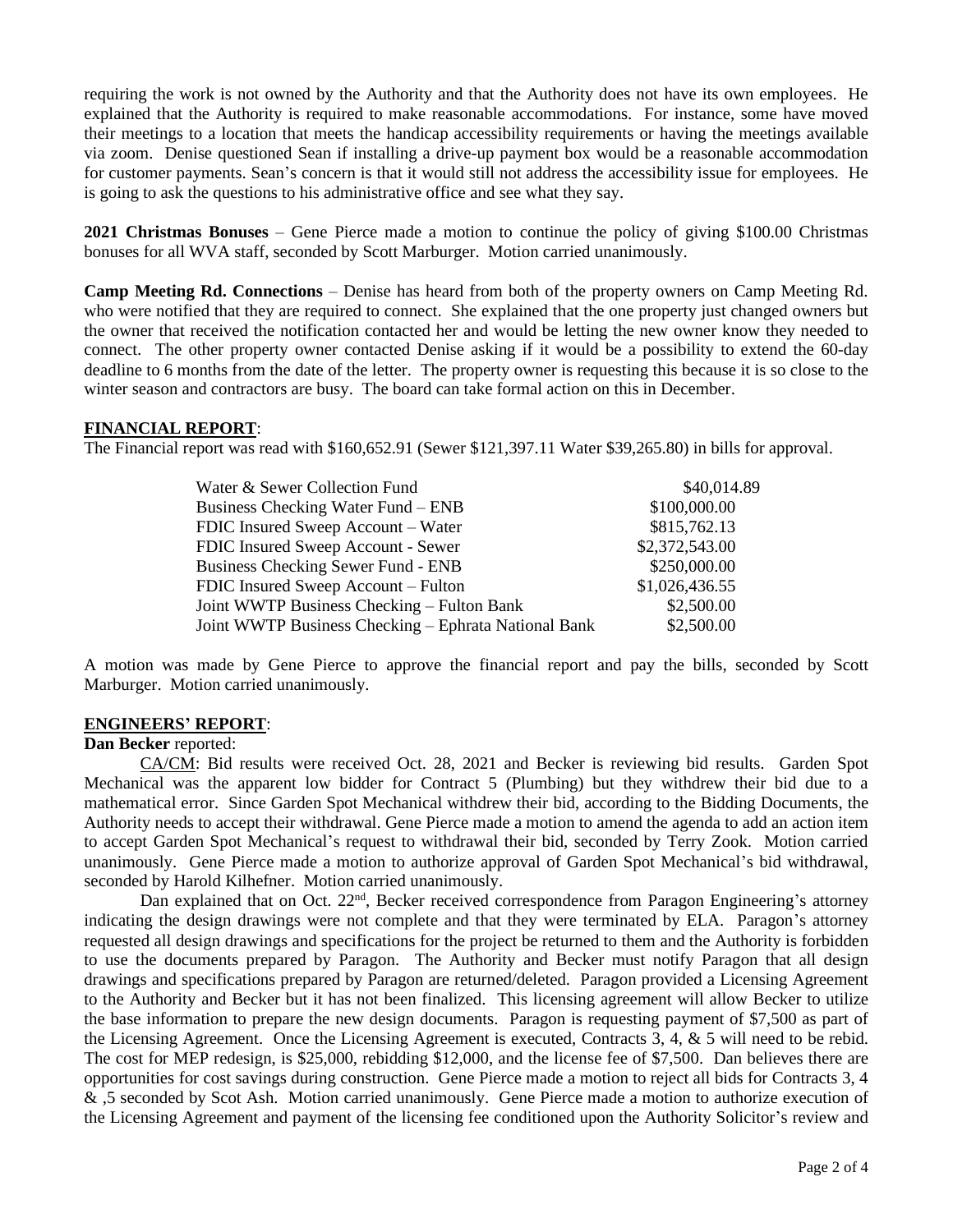requiring the work is not owned by the Authority and that the Authority does not have its own employees. He explained that the Authority is required to make reasonable accommodations. For instance, some have moved their meetings to a location that meets the handicap accessibility requirements or having the meetings available via zoom. Denise questioned Sean if installing a drive-up payment box would be a reasonable accommodation for customer payments. Sean's concern is that it would still not address the accessibility issue for employees. He is going to ask the questions to his administrative office and see what they say.

**2021 Christmas Bonuses** – Gene Pierce made a motion to continue the policy of giving \$100.00 Christmas bonuses for all WVA staff, seconded by Scott Marburger. Motion carried unanimously.

**Camp Meeting Rd. Connections** – Denise has heard from both of the property owners on Camp Meeting Rd. who were notified that they are required to connect. She explained that the one property just changed owners but the owner that received the notification contacted her and would be letting the new owner know they needed to connect. The other property owner contacted Denise asking if it would be a possibility to extend the 60-day deadline to 6 months from the date of the letter. The property owner is requesting this because it is so close to the winter season and contractors are busy. The board can take formal action on this in December.

#### **FINANCIAL REPORT**:

The Financial report was read with \$160,652.91 (Sewer \$121,397.11 Water \$39,265.80) in bills for approval.

| Water & Sewer Collection Fund                        | \$40,014.89    |
|------------------------------------------------------|----------------|
| <b>Business Checking Water Fund – ENB</b>            | \$100,000.00   |
| FDIC Insured Sweep Account – Water                   | \$815,762.13   |
| FDIC Insured Sweep Account - Sewer                   | \$2,372,543.00 |
| <b>Business Checking Sewer Fund - ENB</b>            | \$250,000.00   |
| FDIC Insured Sweep Account – Fulton                  | \$1,026,436.55 |
| Joint WWTP Business Checking – Fulton Bank           | \$2,500.00     |
| Joint WWTP Business Checking – Ephrata National Bank | \$2,500.00     |

A motion was made by Gene Pierce to approve the financial report and pay the bills, seconded by Scott Marburger. Motion carried unanimously.

#### **ENGINEERS' REPORT**:

#### **Dan Becker** reported:

CA/CM: Bid results were received Oct. 28, 2021 and Becker is reviewing bid results. Garden Spot Mechanical was the apparent low bidder for Contract 5 (Plumbing) but they withdrew their bid due to a mathematical error. Since Garden Spot Mechanical withdrew their bid, according to the Bidding Documents, the Authority needs to accept their withdrawal. Gene Pierce made a motion to amend the agenda to add an action item to accept Garden Spot Mechanical's request to withdrawal their bid, seconded by Terry Zook. Motion carried unanimously. Gene Pierce made a motion to authorize approval of Garden Spot Mechanical's bid withdrawal, seconded by Harold Kilhefner. Motion carried unanimously.

Dan explained that on Oct. 22<sup>nd</sup>, Becker received correspondence from Paragon Engineering's attorney indicating the design drawings were not complete and that they were terminated by ELA. Paragon's attorney requested all design drawings and specifications for the project be returned to them and the Authority is forbidden to use the documents prepared by Paragon. The Authority and Becker must notify Paragon that all design drawings and specifications prepared by Paragon are returned/deleted. Paragon provided a Licensing Agreement to the Authority and Becker but it has not been finalized. This licensing agreement will allow Becker to utilize the base information to prepare the new design documents. Paragon is requesting payment of \$7,500 as part of the Licensing Agreement. Once the Licensing Agreement is executed, Contracts 3, 4, & 5 will need to be rebid. The cost for MEP redesign, is \$25,000, rebidding \$12,000, and the license fee of \$7,500. Dan believes there are opportunities for cost savings during construction. Gene Pierce made a motion to reject all bids for Contracts 3, 4 & ,5 seconded by Scot Ash. Motion carried unanimously. Gene Pierce made a motion to authorize execution of the Licensing Agreement and payment of the licensing fee conditioned upon the Authority Solicitor's review and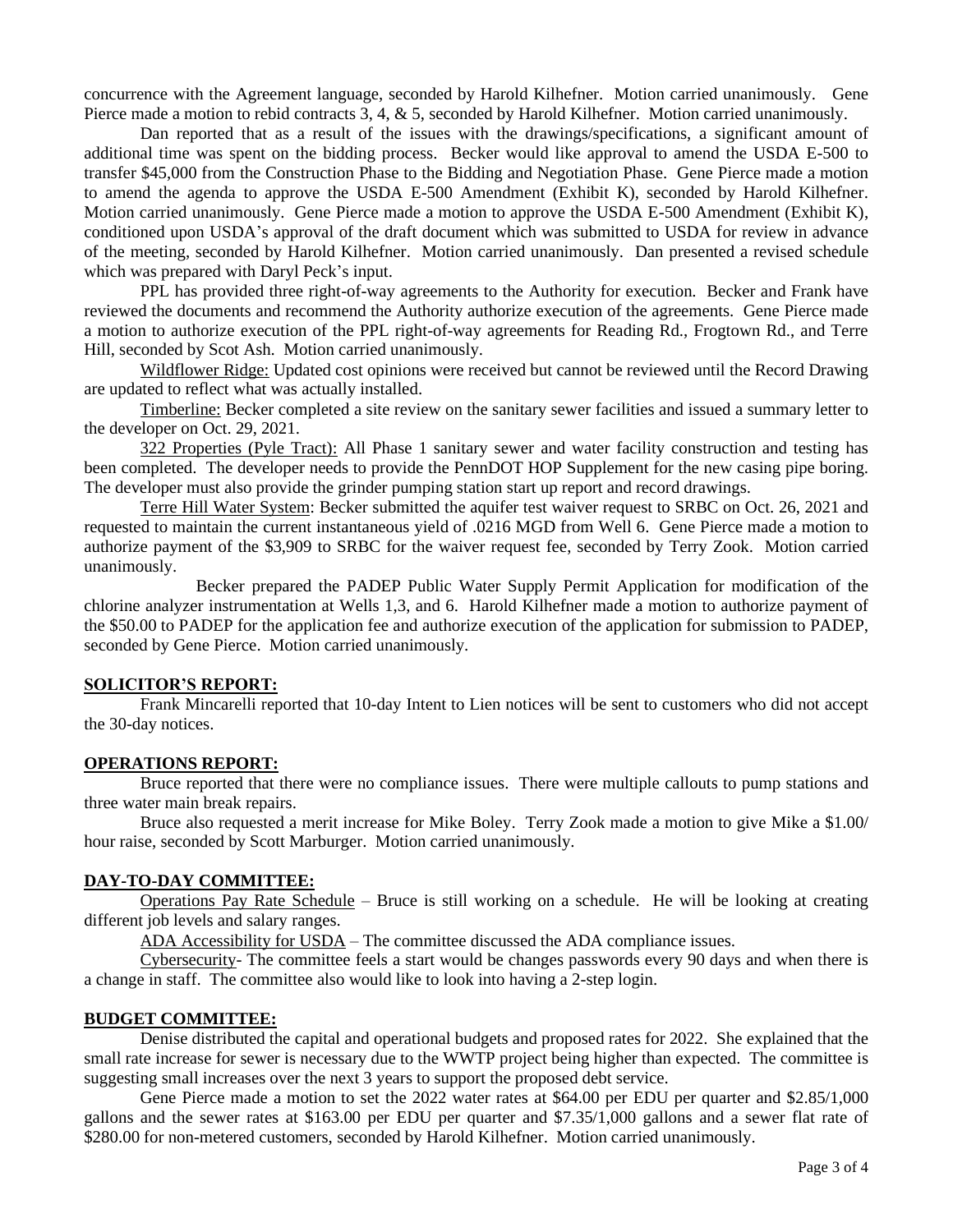concurrence with the Agreement language, seconded by Harold Kilhefner. Motion carried unanimously. Gene Pierce made a motion to rebid contracts 3, 4, & 5, seconded by Harold Kilhefner. Motion carried unanimously.

Dan reported that as a result of the issues with the drawings/specifications, a significant amount of additional time was spent on the bidding process. Becker would like approval to amend the USDA E-500 to transfer \$45,000 from the Construction Phase to the Bidding and Negotiation Phase. Gene Pierce made a motion to amend the agenda to approve the USDA E-500 Amendment (Exhibit K), seconded by Harold Kilhefner. Motion carried unanimously. Gene Pierce made a motion to approve the USDA E-500 Amendment (Exhibit K), conditioned upon USDA's approval of the draft document which was submitted to USDA for review in advance of the meeting, seconded by Harold Kilhefner. Motion carried unanimously. Dan presented a revised schedule which was prepared with Daryl Peck's input.

PPL has provided three right-of-way agreements to the Authority for execution. Becker and Frank have reviewed the documents and recommend the Authority authorize execution of the agreements. Gene Pierce made a motion to authorize execution of the PPL right-of-way agreements for Reading Rd., Frogtown Rd., and Terre Hill, seconded by Scot Ash. Motion carried unanimously.

 Wildflower Ridge: Updated cost opinions were received but cannot be reviewed until the Record Drawing are updated to reflect what was actually installed.

Timberline: Becker completed a site review on the sanitary sewer facilities and issued a summary letter to the developer on Oct. 29, 2021.

322 Properties (Pyle Tract): All Phase 1 sanitary sewer and water facility construction and testing has been completed. The developer needs to provide the PennDOT HOP Supplement for the new casing pipe boring. The developer must also provide the grinder pumping station start up report and record drawings.

Terre Hill Water System: Becker submitted the aquifer test waiver request to SRBC on Oct. 26, 2021 and requested to maintain the current instantaneous yield of .0216 MGD from Well 6. Gene Pierce made a motion to authorize payment of the \$3,909 to SRBC for the waiver request fee, seconded by Terry Zook. Motion carried unanimously.

Becker prepared the PADEP Public Water Supply Permit Application for modification of the chlorine analyzer instrumentation at Wells 1,3, and 6. Harold Kilhefner made a motion to authorize payment of the \$50.00 to PADEP for the application fee and authorize execution of the application for submission to PADEP, seconded by Gene Pierce. Motion carried unanimously.

#### **SOLICITOR'S REPORT:**

Frank Mincarelli reported that 10-day Intent to Lien notices will be sent to customers who did not accept the 30-day notices.

#### **OPERATIONS REPORT:**

Bruce reported that there were no compliance issues. There were multiple callouts to pump stations and three water main break repairs.

Bruce also requested a merit increase for Mike Boley. Terry Zook made a motion to give Mike a \$1.00/ hour raise, seconded by Scott Marburger. Motion carried unanimously.

#### **DAY-TO-DAY COMMITTEE:**

Operations Pay Rate Schedule – Bruce is still working on a schedule. He will be looking at creating different job levels and salary ranges.

ADA Accessibility for USDA – The committee discussed the ADA compliance issues.

Cybersecurity- The committee feels a start would be changes passwords every 90 days and when there is a change in staff. The committee also would like to look into having a 2-step login.

#### **BUDGET COMMITTEE:**

Denise distributed the capital and operational budgets and proposed rates for 2022. She explained that the small rate increase for sewer is necessary due to the WWTP project being higher than expected. The committee is suggesting small increases over the next 3 years to support the proposed debt service.

Gene Pierce made a motion to set the 2022 water rates at \$64.00 per EDU per quarter and \$2.85/1,000 gallons and the sewer rates at \$163.00 per EDU per quarter and \$7.35/1,000 gallons and a sewer flat rate of \$280.00 for non-metered customers, seconded by Harold Kilhefner. Motion carried unanimously.